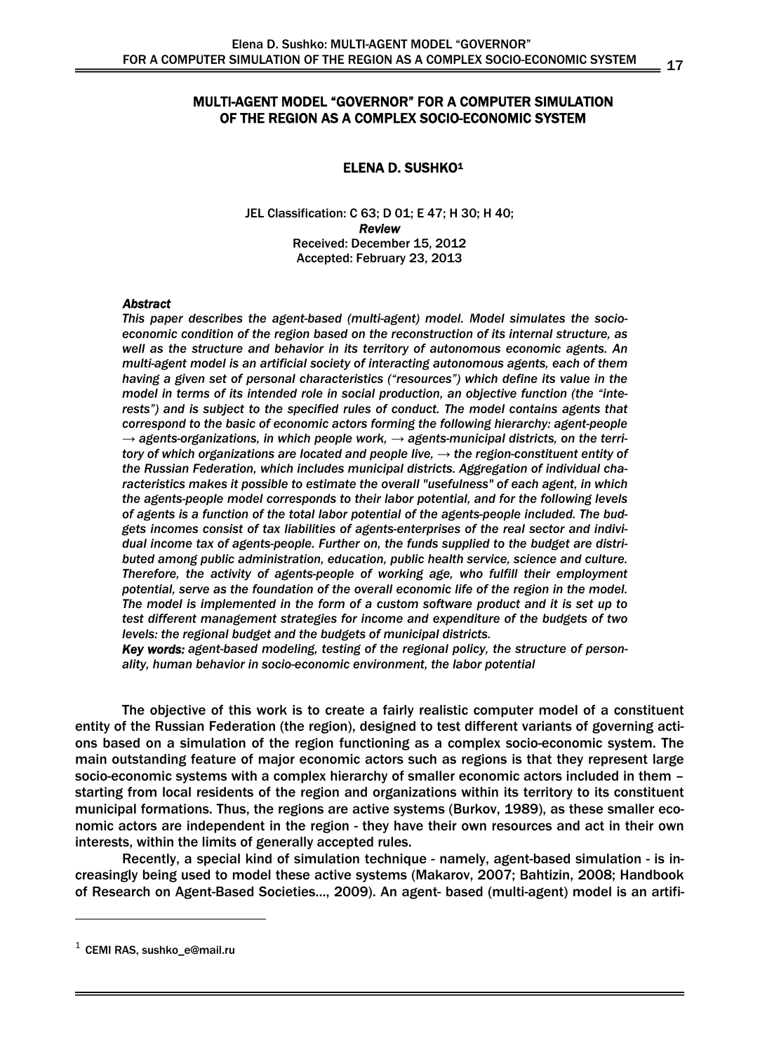### MULTI-AGENT MODEL "GOVERNOR" FOR A COMPUTER SIMULATION OF THE REGION AS A COMPLEX SOCIO-ECONOMIC SYSTEM

#### ELENA D. SUSHKO1

JEL Classification: C 63; D 01; E 47; H 30; H 40; *Review*  Received: December 15, 2012 Accepted: February 23, 2013

#### *Abstract*

*This paper describes the agent-based (multi-agent) model. Model simulates the socioeconomic condition of the region based on the reconstruction of its internal structure, as well as the structure and behavior in its territory of autonomous economic agents. An multi-agent model is an artificial society of interacting autonomous agents, each of them having a given set of personal characteristics ("resources") which define its value in the model in terms of its intended role in social production, an objective function (the "inte*rests") and is subject to the specified rules of conduct. The model contains agents that *correspond to the basic of economic actors forming the following hierarchy: agent-people → agents-organizations, in which people work, → agents-municipal districts, on the territory of which organizations are located and people live, → the region-constituent entity of the Russian Federation, which includes municipal districts. Aggregation of individual characteristics makes it possible to estimate the overall "usefulness" of each agent, in which the agents-people model corresponds to their labor potential, and for the following levels of agents is a function of the total labor potential of the agents-people included. The budgets incomes consist of tax liabilities of agents-enterprises of the real sector and individual income tax of agents-people. Further on, the funds supplied to the budget are distributed among public administration, education, public health service, science and culture. Therefore, the activity of agents-people of working age, who fulfill their employment potential, serve as the foundation of the overall economic life of the region in the model. The model is implemented in the form of a custom software product and it is set up to test different management strategies for income and expenditure of the budgets of two levels: the regional budget and the budgets of municipal districts.* 

*Key words: agent-based modeling, testing of the regional policy, the structure of personality, human behavior in socio-economic environment, the labor potential* 

The objective of this work is to create a fairly realistic computer model of a constituent entity of the Russian Federation (the region), designed to test different variants of governing actions based on a simulation of the region functioning as a complex socio-economic system. The main outstanding feature of major economic actors such as regions is that they represent large socio-economic systems with a complex hierarchy of smaller economic actors included in them – starting from local residents of the region and organizations within its territory to its constituent municipal formations. Thus, the regions are active systems (Burkov, 1989), as these smaller economic actors are independent in the region - they have their own resources and act in their own interests, within the limits of generally accepted rules.

Recently, a special kind of simulation technique - namely, agent-based simulation - is increasingly being used to model these active systems (Makarov, 2007; Bahtizin, 2008; Handbook of Research on Agent-Based Societies..., 2009). An agent- based (multi-agent) model is an artifi-

 $\overline{a}$ 

 $^{1}$  CEMI RAS, sushko\_e@mail.ru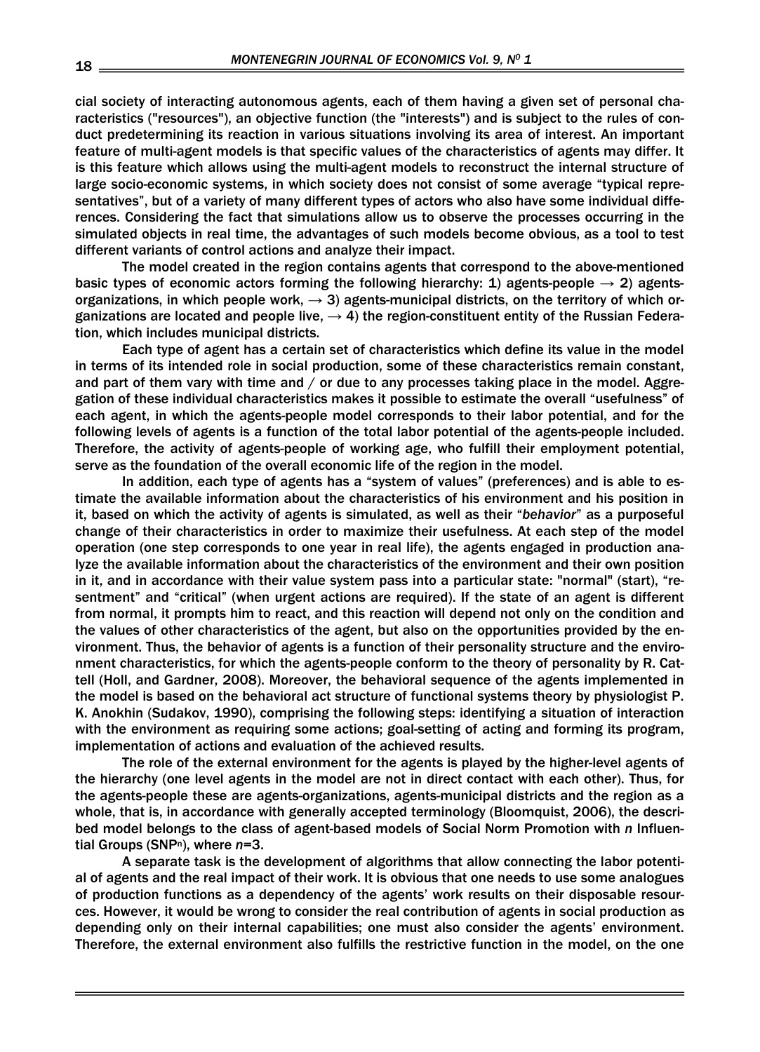cial society of interacting autonomous agents, each of them having a given set of personal characteristics ("resources"), an objective function (the "interests") and is subject to the rules of conduct predetermining its reaction in various situations involving its area of interest. An important feature of multi-agent models is that specific values of the characteristics of agents may differ. It is this feature which allows using the multi-agent models to reconstruct the internal structure of large socio-economic systems, in which society does not consist of some average "typical representatives", but of a variety of many different types of actors who also have some individual differences. Considering the fact that simulations allow us to observe the processes occurring in the simulated objects in real time, the advantages of such models become obvious, as a tool to test different variants of control actions and analyze their impact.

The model created in the region contains agents that correspond to the above-mentioned basic types of economic actors forming the following hierarchy: 1) agents-people  $\rightarrow$  2) agentsorganizations, in which people work,  $\rightarrow$  3) agents-municipal districts, on the territory of which organizations are located and people live,  $\rightarrow$  4) the region-constituent entity of the Russian Federation, which includes municipal districts.

Each type of agent has a certain set of characteristics which define its value in the model in terms of its intended role in social production, some of these characteristics remain constant, and part of them vary with time and / or due to any processes taking place in the model. Aggregation of these individual characteristics makes it possible to estimate the overall "usefulness" of each agent, in which the agents-people model corresponds to their labor potential, and for the following levels of agents is a function of the total labor potential of the agents-people included. Therefore, the activity of agents-people of working age, who fulfill their employment potential, serve as the foundation of the overall economic life of the region in the model.

In addition, each type of agents has a "system of values" (preferences) and is able to estimate the available information about the characteristics of his environment and his position in it, based on which the activity of agents is simulated, as well as their "*behavior*" as a purposeful change of their characteristics in order to maximize their usefulness. At each step of the model operation (one step corresponds to one year in real life), the agents engaged in production analyze the available information about the characteristics of the environment and their own position in it, and in accordance with their value system pass into a particular state: "normal" (start), "resentment" and "critical" (when urgent actions are required). If the state of an agent is different from normal, it prompts him to react, and this reaction will depend not only on the condition and the values of other characteristics of the agent, but also on the opportunities provided by the environment. Thus, the behavior of agents is a function of their personality structure and the environment characteristics, for which the agents-people conform to the theory of personality by R. Cattell (Holl, and Gardner, 2008). Moreover, the behavioral sequence of the agents implemented in the model is based on the behavioral act structure of functional systems theory by physiologist P. K. Anokhin (Sudakov, 1990), comprising the following steps: identifying a situation of interaction with the environment as requiring some actions; goal-setting of acting and forming its program, implementation of actions and evaluation of the achieved results.

The role of the external environment for the agents is played by the higher-level agents of the hierarchy (one level agents in the model are not in direct contact with each other). Thus, for the agents-people these are agents-organizations, agents-municipal districts and the region as a whole, that is, in accordance with generally accepted terminology (Bloomquist, 2006), the described model belongs to the class of agent-based models of Social Norm Promotion with *n* Influential Groups (SNPn), where *n*=3.

A separate task is the development of algorithms that allow connecting the labor potential of agents and the real impact of their work. It is obvious that one needs to use some analogues of production functions as a dependency of the agents' work results on their disposable resources. However, it would be wrong to consider the real contribution of agents in social production as depending only on their internal capabilities; one must also consider the agents' environment. Therefore, the external environment also fulfills the restrictive function in the model, on the one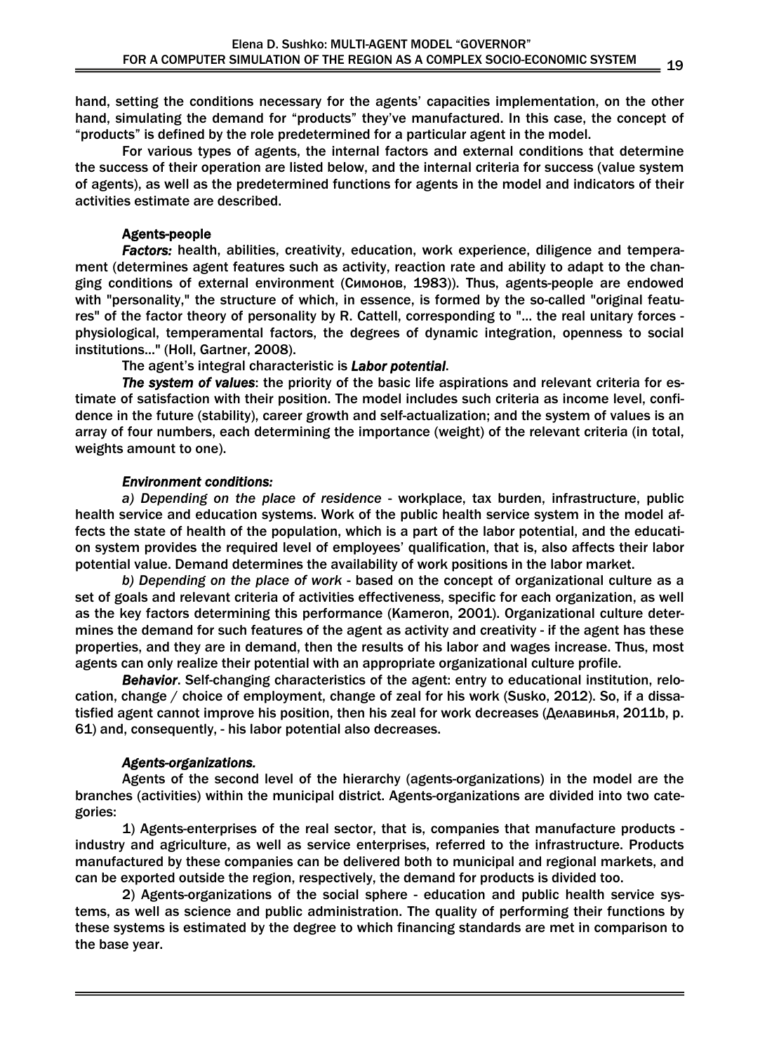hand, setting the conditions necessary for the agents' capacities implementation, on the other hand, simulating the demand for "products" they've manufactured. In this case, the concept of "products" is defined by the role predetermined for a particular agent in the model.

For various types of agents, the internal factors and external conditions that determine the success of their operation are listed below, and the internal criteria for success (value system of agents), as well as the predetermined functions for agents in the model and indicators of their activities estimate are described.

# Agents-people

*Factors:* health, abilities, creativity, education, work experience, diligence and temperament (determines agent features such as activity, reaction rate and ability to adapt to the changing conditions of external environment (Симонов, 1983)). Thus, agents-people are endowed with "personality," the structure of which, in essence, is formed by the so-called "original features" of the factor theory of personality by R. Cattell, corresponding to "... the real unitary forces physiological, temperamental factors, the degrees of dynamic integration, openness to social institutions..." (Holl, Gartner, 2008).

The agent's integral characteristic is *Labor potential*.

*The system of values*: the priority of the basic life aspirations and relevant criteria for estimate of satisfaction with their position. The model includes such criteria as income level, confidence in the future (stability), career growth and self-actualization; and the system of values is an array of four numbers, each determining the importance (weight) of the relevant criteria (in total, weights amount to one).

# *Environment conditions:*

*a) Depending on the place of residence* - workplace, tax burden, infrastructure, public health service and education systems. Work of the public health service system in the model affects the state of health of the population, which is a part of the labor potential, and the education system provides the required level of employees' qualification, that is, also affects their labor potential value. Demand determines the availability of work positions in the labor market.

*b) Depending on the place of work* - based on the concept of organizational culture as a set of goals and relevant criteria of activities effectiveness, specific for each organization, as well as the key factors determining this performance (Kameron, 2001). Organizational culture determines the demand for such features of the agent as activity and creativity - if the agent has these properties, and they are in demand, then the results of his labor and wages increase. Thus, most agents can only realize their potential with an appropriate organizational culture profile.

*Behavior*. Self-changing characteristics of the agent: entry to educational institution, relocation, change / choice of employment, change of zeal for his work (Susko, 2012). So, if a dissatisfied agent cannot improve his position, then his zeal for work decreases (Делавинья, 2011b, p. 61) and, consequently, - his labor potential also decreases.

# *Agents-organizations.*

Agents of the second level of the hierarchy (agents-organizations) in the model are the branches (activities) within the municipal district. Agents-organizations are divided into two categories:

1) Agents-enterprises of the real sector, that is, companies that manufacture products industry and agriculture, as well as service enterprises, referred to the infrastructure. Products manufactured by these companies can be delivered both to municipal and regional markets, and can be exported outside the region, respectively, the demand for products is divided too.

2) Agents-organizations of the social sphere - education and public health service systems, as well as science and public administration. The quality of performing their functions by these systems is estimated by the degree to which financing standards are met in comparison to the base year.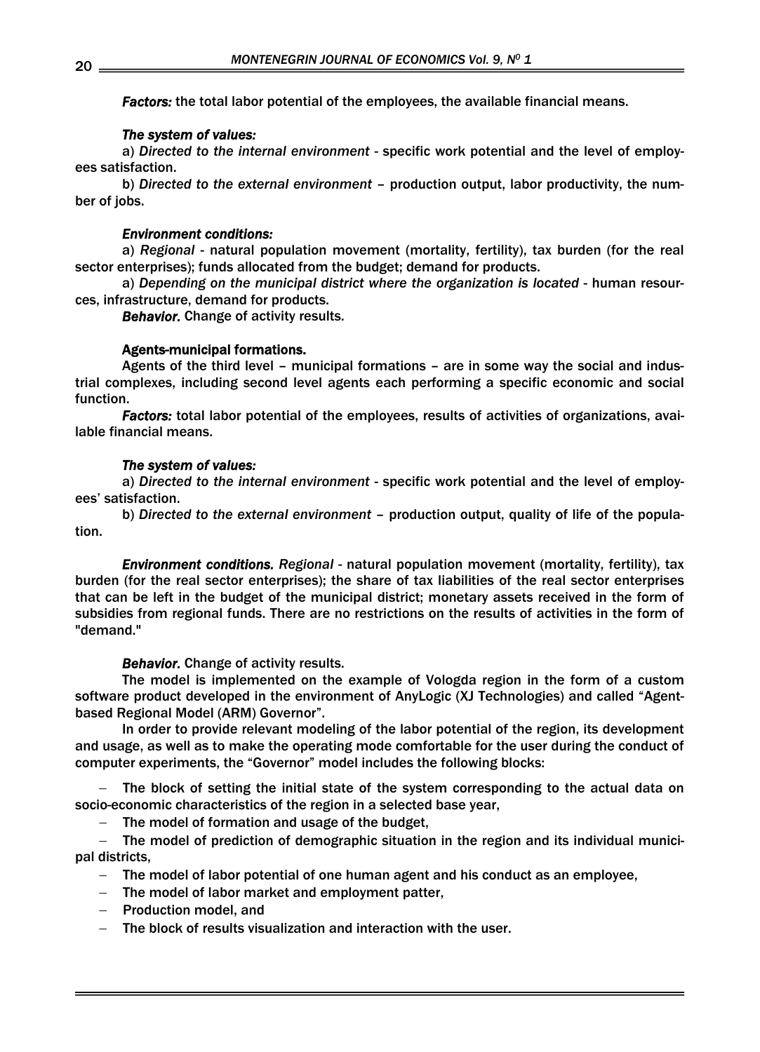*Factors:* the total labor potential of the employees, the available financial means.

### *The system of values:*

a) *Directed to the internal environment* - specific work potential and the level of employees satisfaction.

b) *Directed to the external environment* – production output, labor productivity, the number of jobs.

# *Environment conditions:*

a) *Regional* - natural population movement (mortality, fertility), tax burden (for the real sector enterprises); funds allocated from the budget; demand for products.

a) *Depending on the municipal district where the organization is located* - human resources, infrastructure, demand for products.

**Behavior.** Change of activity results.

# Agents-municipal formations.

Agents of the third level – municipal formations – are in some way the social and industrial complexes, including second level agents each performing a specific economic and social function.

*Factors:* total labor potential of the employees, results of activities of organizations, available financial means.

# *The system of values:*

a) *Directed to the internal environment* - specific work potential and the level of employees' satisfaction.

b) *Directed to the external environment* – production output, quality of life of the population.

*Environment conditions. Regional - natural population movement (mortality, fertility), tax* burden (for the real sector enterprises); the share of tax liabilities of the real sector enterprises that can be left in the budget of the municipal district; monetary assets received in the form of subsidies from regional funds. There are no restrictions on the results of activities in the form of "demand."

### *Behavior.* Change of activity results.

The model is implemented on the example of Vologda region in the form of a custom software product developed in the environment of AnyLogic (XJ Technologies) and called "Agentbased Regional Model (ARM) Governor".

In order to provide relevant modeling of the labor potential of the region, its development and usage, as well as to make the operating mode comfortable for the user during the conduct of computer experiments, the "Governor" model includes the following blocks:

− The block of setting the initial state of the system corresponding to the actual data on socio-economic characteristics of the region in a selected base year,

− The model of formation and usage of the budget,

− The model of prediction of demographic situation in the region and its individual municipal districts,

- − The model of labor potential of one human agent and his conduct as an employee,
- − The model of labor market and employment patter,
- − Production model, and
- − The block of results visualization and interaction with the user.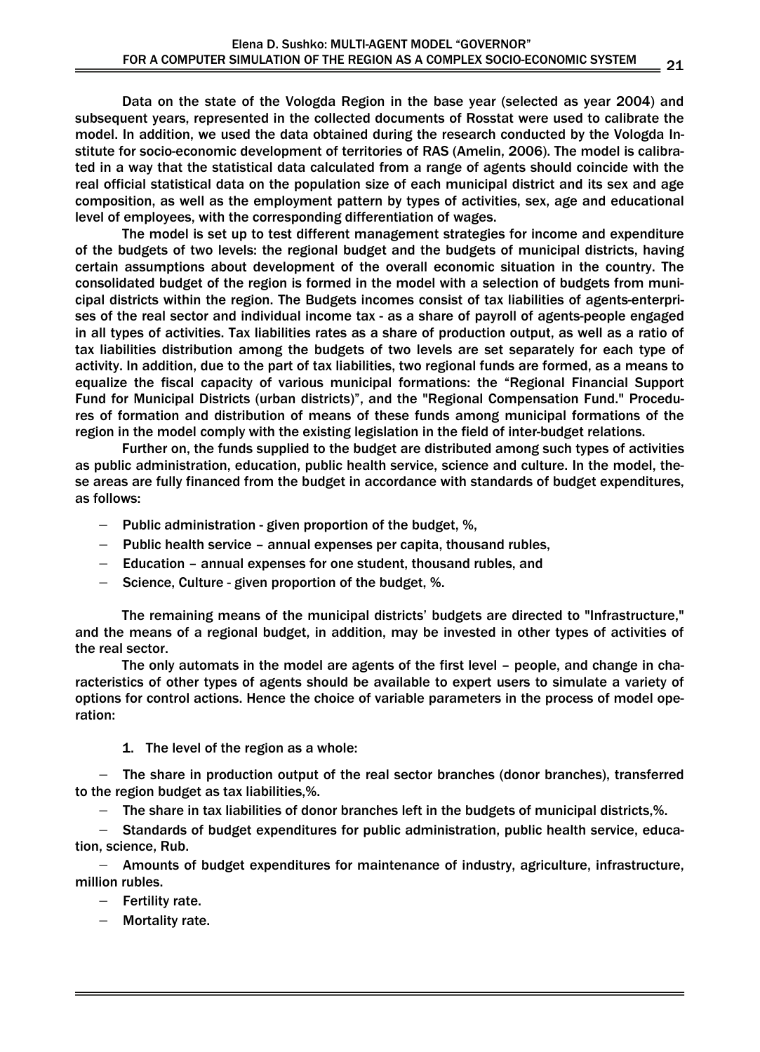Data on the state of the Vologda Region in the base year (selected as year 2004) and subsequent years, represented in the collected documents of Rosstat were used to calibrate the model. In addition, we used the data obtained during the research conducted by the Vologda Institute for socio-economic development of territories of RAS (Amelin, 2006). The model is calibrated in a way that the statistical data calculated from a range of agents should coincide with the real official statistical data on the population size of each municipal district and its sex and age composition, as well as the employment pattern by types of activities, sex, age and educational level of employees, with the corresponding differentiation of wages.

The model is set up to test different management strategies for income and expenditure of the budgets of two levels: the regional budget and the budgets of municipal districts, having certain assumptions about development of the overall economic situation in the country. The consolidated budget of the region is formed in the model with a selection of budgets from municipal districts within the region. The Budgets incomes consist of tax liabilities of agents-enterprises of the real sector and individual income tax - as a share of payroll of agents-people engaged in all types of activities. Tax liabilities rates as a share of production output, as well as a ratio of tax liabilities distribution among the budgets of two levels are set separately for each type of activity. In addition, due to the part of tax liabilities, two regional funds are formed, as a means to equalize the fiscal capacity of various municipal formations: the "Regional Financial Support Fund for Municipal Districts (urban districts)", and the "Regional Compensation Fund." Procedures of formation and distribution of means of these funds among municipal formations of the region in the model comply with the existing legislation in the field of inter-budget relations.

Further on, the funds supplied to the budget are distributed among such types of activities as public administration, education, public health service, science and culture. In the model, these areas are fully financed from the budget in accordance with standards of budget expenditures, as follows:

- − Public administration given proportion of the budget, %,
- − Public health service annual expenses per capita, thousand rubles,
- − Education annual expenses for one student, thousand rubles, and
- Science, Culture given proportion of the budget, %.

The remaining means of the municipal districts' budgets are directed to "Infrastructure," and the means of a regional budget, in addition, may be invested in other types of activities of the real sector.

The only automats in the model are agents of the first level – people, and change in characteristics of other types of agents should be available to expert users to simulate a variety of options for control actions. Hence the choice of variable parameters in the process of model operation:

1. The level of the region as a whole:

− The share in production output of the real sector branches (donor branches), transferred to the region budget as tax liabilities,%.

− The share in tax liabilities of donor branches left in the budgets of municipal districts,%.

− Standards of budget expenditures for public administration, public health service, education, science, Rub.

− Amounts of budget expenditures for maintenance of industry, agriculture, infrastructure, million rubles.

− Fertility rate.

− Mortality rate.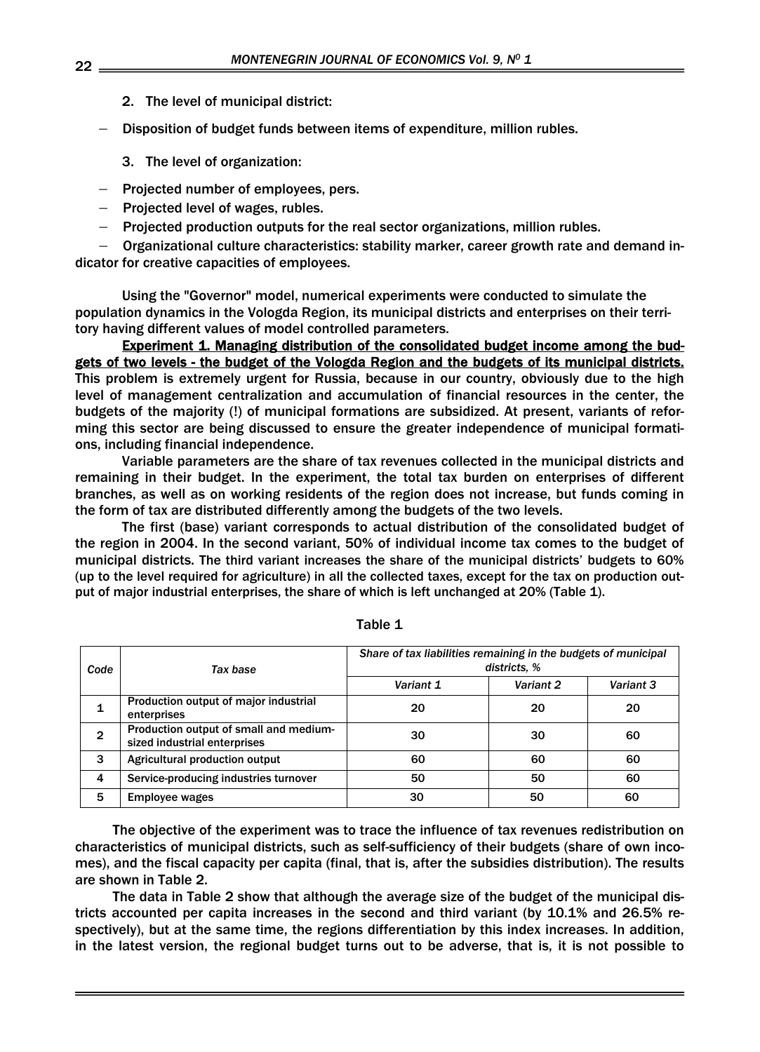2. The level of municipal district:

− Disposition of budget funds between items of expenditure, million rubles.

- 3. The level of organization:
- − Projected number of employees, pers.
- − Projected level of wages, rubles.
- − Projected production outputs for the real sector organizations, million rubles.

− Organizational culture characteristics: stability marker, career growth rate and demand indicator for creative capacities of employees.

Using the "Governor" model, numerical experiments were conducted to simulate the population dynamics in the Vologda Region, its municipal districts and enterprises on their territory having different values of model controlled parameters.

Experiment 1. Managing distribution of the consolidated budget income among the budgets of two levels - the budget of the Vologda Region and the budgets of its municipal districts. This problem is extremely urgent for Russia, because in our country, obviously due to the high level of management centralization and accumulation of financial resources in the center, the budgets of the majority (!) of municipal formations are subsidized. At present, variants of reforming this sector are being discussed to ensure the greater independence of municipal formations, including financial independence.

Variable parameters are the share of tax revenues collected in the municipal districts and remaining in their budget. In the experiment, the total tax burden on enterprises of different branches, as well as on working residents of the region does not increase, but funds coming in the form of tax are distributed differently among the budgets of the two levels.

The first (base) variant corresponds to actual distribution of the consolidated budget of the region in 2004. In the second variant, 50% of individual income tax comes to the budget of municipal districts. The third variant increases the share of the municipal districts' budgets to 60% (up to the level required for agriculture) in all the collected taxes, except for the tax on production output of major industrial enterprises, the share of which is left unchanged at 20% (Table 1).

| Code | Tax base                                                               | Share of tax liabilities remaining in the budgets of municipal<br>districts, % |           |           |
|------|------------------------------------------------------------------------|--------------------------------------------------------------------------------|-----------|-----------|
|      |                                                                        | Variant 1                                                                      | Variant 2 | Variant 3 |
|      | Production output of major industrial<br>enterprises                   | 20                                                                             | 20        | 20        |
| 2    | Production output of small and medium-<br>sized industrial enterprises | 30                                                                             | 30        | 60        |
| 3    | Agricultural production output                                         | 60                                                                             | 60        | 60        |
| 4    | Service-producing industries turnover                                  | 50                                                                             | 50        | 60        |
| 5    | <b>Employee wages</b>                                                  | 30                                                                             | 50        | 60        |

| I<br>O<br>ш<br>٠<br>o |  |
|-----------------------|--|
|-----------------------|--|

The objective of the experiment was to trace the influence of tax revenues redistribution on characteristics of municipal districts, such as self-sufficiency of their budgets (share of own incomes), and the fiscal capacity per capita (final, that is, after the subsidies distribution). The results are shown in Table 2.

The data in Table 2 show that although the average size of the budget of the municipal districts accounted per capita increases in the second and third variant (by 10.1% and 26.5% respectively), but at the same time, the regions differentiation by this index increases. In addition, in the latest version, the regional budget turns out to be adverse, that is, it is not possible to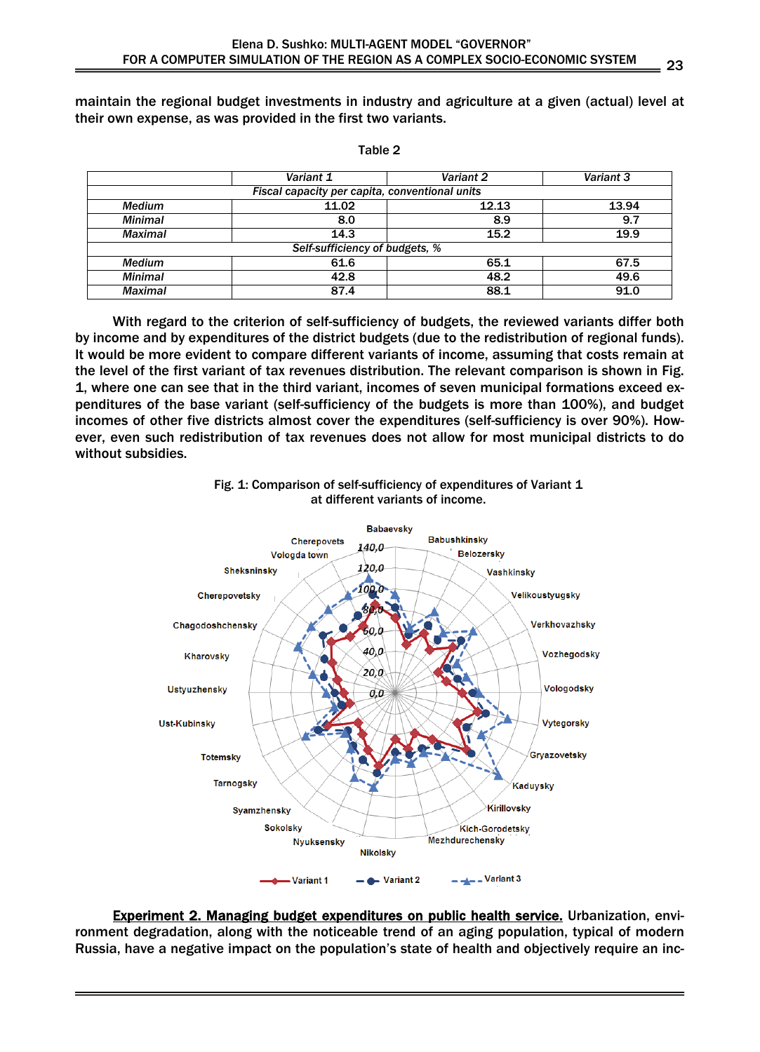maintain the regional budget investments in industry and agriculture at a given (actual) level at their own expense, as was provided in the first two variants.

Table 2

|                                                | Variant 1 | Variant 2 | Variant 3 |  |  |  |  |  |
|------------------------------------------------|-----------|-----------|-----------|--|--|--|--|--|
| Fiscal capacity per capita, conventional units |           |           |           |  |  |  |  |  |
| <b>Medium</b>                                  | 11.02     | 12.13     | 13.94     |  |  |  |  |  |
| Minimal                                        | 8.0       | 8.9       | 9.7       |  |  |  |  |  |
| <b>Maximal</b>                                 | 14.3      | 15.2      | 19.9      |  |  |  |  |  |
| Self-sufficiency of budgets, %                 |           |           |           |  |  |  |  |  |
| <b>Medium</b>                                  | 61.6      | 65.1      | 67.5      |  |  |  |  |  |
| <b>Minimal</b>                                 | 42.8      | 48.2      | 49.6      |  |  |  |  |  |
| <b>Maximal</b>                                 | 87.4      | 88.1      | 91.0      |  |  |  |  |  |

With regard to the criterion of self-sufficiency of budgets, the reviewed variants differ both by income and by expenditures of the district budgets (due to the redistribution of regional funds). It would be more evident to compare different variants of income, assuming that costs remain at the level of the first variant of tax revenues distribution. The relevant comparison is shown in Fig. 1, where one can see that in the third variant, incomes of seven municipal formations exceed expenditures of the base variant (self-sufficiency of the budgets is more than 100%), and budget incomes of other five districts almost cover the expenditures (self-sufficiency is over 90%). However, even such redistribution of tax revenues does not allow for most municipal districts to do without subsidies.



#### Fig. 1: Comparison of self-sufficiency of expenditures of Variant 1 at different variants of income.

**Experiment 2. Managing budget expenditures on public health service.** Urbanization, environment degradation, along with the noticeable trend of an aging population, typical of modern Russia, have a negative impact on the population's state of health and objectively require an inc-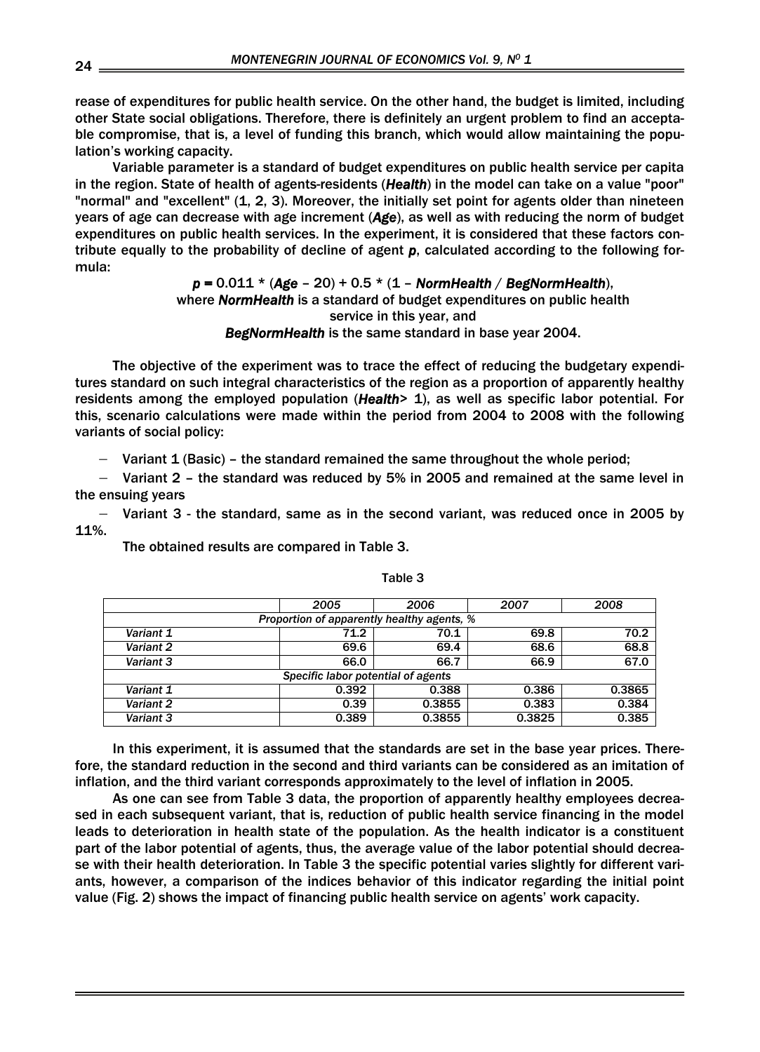rease of expenditures for public health service. On the other hand, the budget is limited, including other State social obligations. Therefore, there is definitely an urgent problem to find an acceptable compromise, that is, a level of funding this branch, which would allow maintaining the population's working capacity.

Variable parameter is a standard of budget expenditures on public health service per capita in the region. State of health of agents-residents (*Health*) in the model can take on a value "poor" "normal" and "excellent" (1, 2, 3). Moreover, the initially set point for agents older than nineteen years of age can decrease with age increment (*Age*), as well as with reducing the norm of budget expenditures on public health services. In the experiment, it is considered that these factors contribute equally to the probability of decline of agent *p*, calculated according to the following formula:

> *p =* 0.011 \* (*Age* – 20) + 0.5 \* (1 – *NormHealth* / *BegNormHealth*), where *NormHealth* is a standard of budget expenditures on public health service in this year, and *BegNormHealth* is the same standard in base year 2004.

The objective of the experiment was to trace the effect of reducing the budgetary expenditures standard on such integral characteristics of the region as a proportion of apparently healthy residents among the employed population (*Health*> 1), as well as specific labor potential. For this, scenario calculations were made within the period from 2004 to 2008 with the following variants of social policy:

− Variant 1 (Basic) – the standard remained the same throughout the whole period;

− Variant 2 – the standard was reduced by 5% in 2005 and remained at the same level in the ensuing years

− Variant 3 - the standard, same as in the second variant, was reduced once in 2005 by 11%.

The obtained results are compared in Table 3.

| 2005                                       | 2006   | 2007   | 2008   |  |  |  |  |  |  |
|--------------------------------------------|--------|--------|--------|--|--|--|--|--|--|
| Proportion of apparently healthy agents, % |        |        |        |  |  |  |  |  |  |
| 71.2                                       | 70.1   | 69.8   | 70.2   |  |  |  |  |  |  |
| 69.6                                       | 69.4   | 68.6   | 68.8   |  |  |  |  |  |  |
| 66.0                                       | 66.7   | 66.9   | 67.0   |  |  |  |  |  |  |
| Specific labor potential of agents         |        |        |        |  |  |  |  |  |  |
| 0.392                                      | 0.388  | 0.386  | 0.3865 |  |  |  |  |  |  |
| 0.39                                       | 0.3855 | 0.383  | 0.384  |  |  |  |  |  |  |
| 0.389                                      | 0.3855 | 0.3825 | 0.385  |  |  |  |  |  |  |
|                                            |        |        |        |  |  |  |  |  |  |

Table 3

In this experiment, it is assumed that the standards are set in the base year prices. Therefore, the standard reduction in the second and third variants can be considered as an imitation of inflation, and the third variant corresponds approximately to the level of inflation in 2005.

As one can see from Table 3 data, the proportion of apparently healthy employees decreased in each subsequent variant, that is, reduction of public health service financing in the model leads to deterioration in health state of the population. As the health indicator is a constituent part of the labor potential of agents, thus, the average value of the labor potential should decrease with their health deterioration. In Table 3 the specific potential varies slightly for different variants, however, a comparison of the indices behavior of this indicator regarding the initial point value (Fig. 2) shows the impact of financing public health service on agents' work capacity.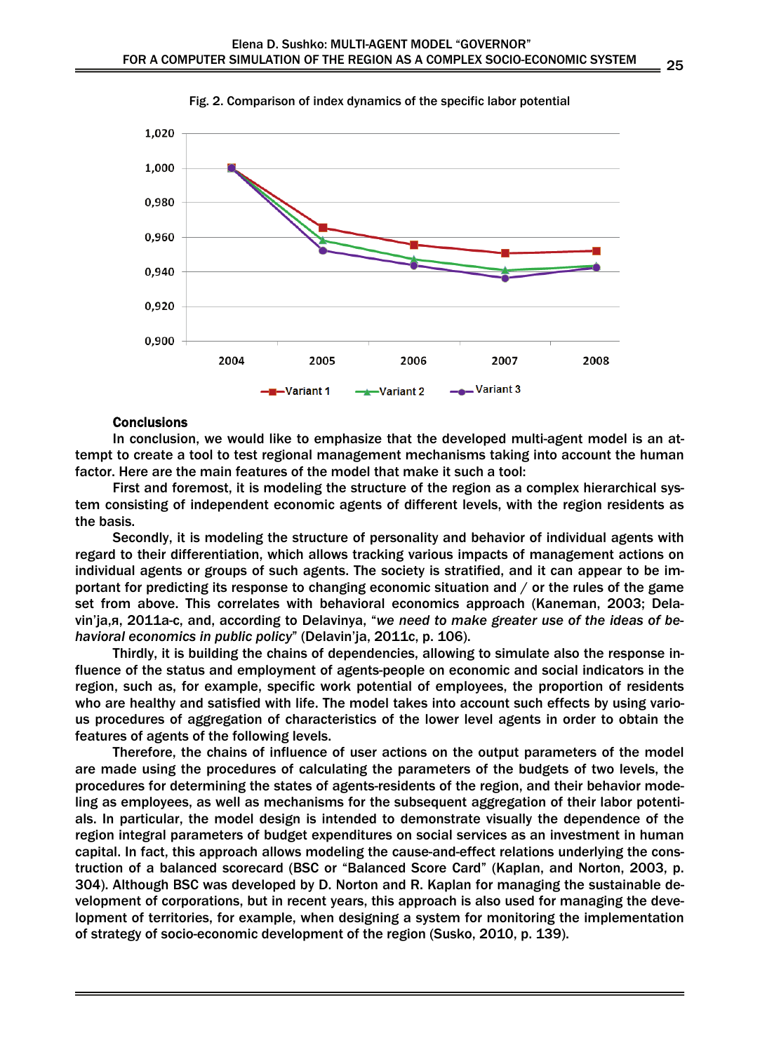



#### **Conclusions**

In conclusion, we would like to emphasize that the developed multi-agent model is an attempt to create a tool to test regional management mechanisms taking into account the human factor. Here are the main features of the model that make it such a tool:

First and foremost, it is modeling the structure of the region as a complex hierarchical system consisting of independent economic agents of different levels, with the region residents as the basis.

Secondly, it is modeling the structure of personality and behavior of individual agents with regard to their differentiation, which allows tracking various impacts of management actions on individual agents or groups of such agents. The society is stratified, and it can appear to be important for predicting its response to changing economic situation and / or the rules of the game set from above. This correlates with behavioral economics approach (Kaneman, 2003; Delavin'ja,я, 2011a-c, and, according to Delavinya, "*we need to make greater use of the ideas of behavioral economics in public policy*" (Delavin'ja, 2011c, p. 106).

Thirdly, it is building the chains of dependencies, allowing to simulate also the response influence of the status and employment of agents-people on economic and social indicators in the region, such as, for example, specific work potential of employees, the proportion of residents who are healthy and satisfied with life. The model takes into account such effects by using various procedures of aggregation of characteristics of the lower level agents in order to obtain the features of agents of the following levels.

Therefore, the chains of influence of user actions on the output parameters of the model are made using the procedures of calculating the parameters of the budgets of two levels, the procedures for determining the states of agents-residents of the region, and their behavior modeling as employees, as well as mechanisms for the subsequent aggregation of their labor potentials. In particular, the model design is intended to demonstrate visually the dependence of the region integral parameters of budget expenditures on social services as an investment in human capital. In fact, this approach allows modeling the cause-and-effect relations underlying the construction of a balanced scorecard (BSC or "Balanced Score Card" (Kaplan, and Norton, 2003, p. 304). Although BSC was developed by D. Norton and R. Kaplan for managing the sustainable development of corporations, but in recent years, this approach is also used for managing the development of territories, for example, when designing a system for monitoring the implementation of strategy of socio-economic development of the region (Susko, 2010, p. 139).